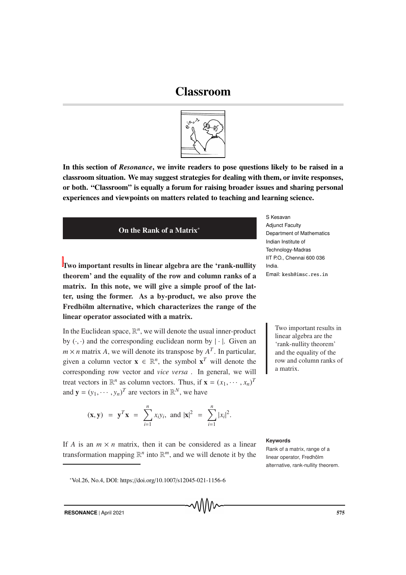## Classroom



In this section of *Resonance*, we invite readers to pose questions likely to be raised in a classroom situation. We may suggest strategies for dealing with them, or invite responses, or both. "Classroom" is equally a forum for raising broader issues and sharing personal experiences and viewpoints on matters related to teaching and learning science.



Two important results in linear algebra are the 'rank-nullity theorem' and the equality of the row and column ranks of a matrix. In this note, we will give a simple proof of the latter, using the former. As a by-product, we also prove the Fredhölm alternative, which characterizes the range of the linear operator associated with a matrix.

In the Euclidean space,  $\mathbb{R}^n$ , we will denote the usual inner-product by  $(\cdot, \cdot)$  and the corresponding euclidean norm by  $|\cdot|$ . Given an  $m \times n$  matrix *A*, we will denote its transpose by  $A<sup>T</sup>$ . In particular, given a column vector  $\mathbf{x} \in \mathbb{R}^n$ , the symbol  $\mathbf{x}^T$  will denote the corresponding row vector and *vice versa* . In general, we will treat vectors in  $\mathbb{R}^n$  as column vectors. Thus, if  $\mathbf{x} = (x_1, \dots, x_n)^T$ and  $\mathbf{y} = (y_1, \dots, y_n)^T$  are vectors in  $\mathbb{R}^N$ , we have

$$
(\mathbf{x}, \mathbf{y}) = \mathbf{y}^T \mathbf{x} = \sum_{i=1}^n x_i y_i
$$
, and  $|\mathbf{x}|^2 = \sum_{i=1}^n |x_i|^2$ .

If *A* is an  $m \times n$  matrix, then it can be considered as a linear transformation mapping  $\mathbb{R}^n$  into  $\mathbb{R}^m$ , and we will denote it by the

<sup>∗</sup>Vol.26, No.4, DOI: https://doi.org/10.1007/s12045-021-1156-6

S Kesavan Adjunct Faculty Department of Mathematics Indian Institute of Technology-Madras IIT P.O., Chennai 600 036 India. Email: kesh@imsc.res.in

> Two important results in linear algebra are the 'rank-nullity theorem' and the equality of the row and column ranks of a matrix.

## **Keywords**

Rank of a matrix, range of a linear operator, Fredhölm alternative, rank-nullity theorem.

**RESONANCE** | April 2021 575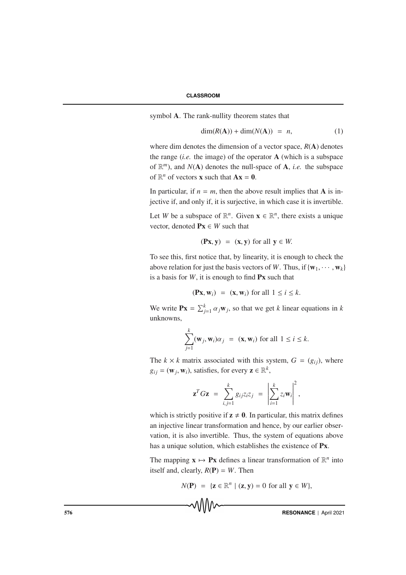symbol A. The rank-nullity theorem states that

$$
\dim(R(A)) + \dim(N(A)) = n,\tag{1}
$$

where dim denotes the dimension of a vector space, *R*(A) denotes the range (*i.e.* the image) of the operator A (which is a subspace of  $\mathbb{R}^m$ ), and  $N(A)$  denotes the null-space of A, *i.e.* the subspace of  $\mathbb{R}^n$  of vectors **x** such that  $Ax = 0$ .

In particular, if  $n = m$ , then the above result implies that **A** is injective if, and only if, it is surjective, in which case it is invertible.

Let *W* be a subspace of  $\mathbb{R}^n$ . Given  $\mathbf{x} \in \mathbb{R}^n$ , there exists a unique vector, denoted  $P_X \in W$  such that

$$
(\mathbf{P}\mathbf{x}, \mathbf{y}) = (\mathbf{x}, \mathbf{y}) \text{ for all } \mathbf{y} \in W.
$$

To see this, first notice that, by linearity, it is enough to check the above relation for just the basis vectors of *W*. Thus, if  $\{w_1, \dots, w_k\}$ is a basis for  $W$ , it is enough to find  $\mathbf{P} \mathbf{x}$  such that

$$
(\mathbf{P}\mathbf{x}, \mathbf{w}_i) = (\mathbf{x}, \mathbf{w}_i) \text{ for all } 1 \le i \le k.
$$

We write  $\mathbf{P}\mathbf{x} = \sum_{j=1}^{k} \alpha_j \mathbf{w}_j$ , so that we get *k* linear equations in *k* unknowns,

$$
\sum_{j=1}^k (\mathbf{w}_j, \mathbf{w}_i) \alpha_j = (\mathbf{x}, \mathbf{w}_i) \text{ for all } 1 \le i \le k.
$$

The  $k \times k$  matrix associated with this system,  $G = (g_{ij})$ , where  $g_{ij} = (\mathbf{w}_j, \mathbf{w}_i)$ , satisfies, for every  $\mathbf{z} \in \mathbb{R}^k$ ,

$$
\mathbf{z}^T G \mathbf{z} = \sum_{i,j=1}^k g_{ij} z_i z_j = \left| \sum_{i=1}^k z_i \mathbf{w}_i \right|^2,
$$

which is strictly positive if  $z \neq 0$ . In particular, this matrix defines an injective linear transformation and hence, by our earlier observation, it is also invertible. Thus, the system of equations above has a unique solution, which establishes the existence of Px.

The mapping  $\mathbf{x} \mapsto \mathbf{P}\mathbf{x}$  defines a linear transformation of  $\mathbb{R}^n$  into itself and, clearly,  $R(\mathbf{P}) = W$ . Then

$$
N(\mathbf{P}) = \{ \mathbf{z} \in \mathbb{R}^n \mid (\mathbf{z}, \mathbf{y}) = 0 \text{ for all } \mathbf{y} \in W \},
$$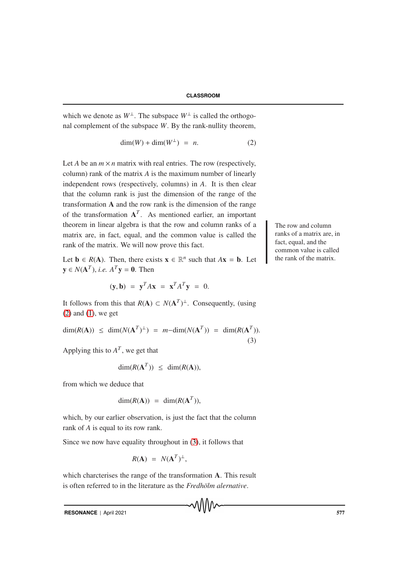which we denote as  $W^{\perp}$ . The subspace  $W^{\perp}$  is called the orthogonal complement of the subspace *W*. By the rank-nullity theorem,

$$
\dim(W) + \dim(W^{\perp}) = n. \tag{2}
$$

Let *A* be an  $m \times n$  matrix with real entries. The row (respectively, column) rank of the matrix *A* is the maximum number of linearly independent rows (respectively, columns) in *A*. It is then clear that the column rank is just the dimension of the range of the transformation A and the row rank is the dimension of the range of the transformation  $A<sup>T</sup>$ . As mentioned earlier, an important theorem in linear algebra is that the row and column ranks of  $\alpha$  The row and column matrix are, in fact, equal, and the common value is called the rank of the matrix. We will now prove this fact.

Let  $\mathbf{b} \in R(\mathbf{A})$ . Then, there exists  $\mathbf{x} \in \mathbb{R}^n$  such that  $A\mathbf{x} = \mathbf{b}$ . Let  $y \in N(A^T)$ , *i.e.*  $A^T y = 0$ . Then

$$
(\mathbf{y}, \mathbf{b}) = \mathbf{y}^T A \mathbf{x} = \mathbf{x}^T A^T \mathbf{y} = 0.
$$

It follows from this that  $R(A) \subset N(A^T)^{\perp}$ . Consequently, (using  $(2)$  and  $(1)$ , we get

$$
\dim(R(\mathbf{A})) \le \dim(N(\mathbf{A}^T)^{\perp}) = m - \dim(N(\mathbf{A}^T)) = \dim(R(\mathbf{A}^T)).
$$
\n(3)

Applying this to  $A<sup>T</sup>$ , we get that

$$
\dim(R(\mathbf{A}^T)) \leq \dim(R(\mathbf{A})),
$$

from which we deduce that

$$
\dim(R(\mathbf{A})) = \dim(R(\mathbf{A}^T)),
$$

which, by our earlier observation, is just the fact that the column rank of *A* is equal to its row rank.

Since we now have equality throughout in (3), it follows that

$$
R(\mathbf{A}) = N(\mathbf{A}^T)^{\perp},
$$

which charcterises the range of the transformation A. This result is often referred to in the literature as the *Fredhölm alernative*.

៶៱៲៲៲៴៶

**RESONANCE** | April 2021 577

ranks of a matrix are, in fact, equal, and the common value is called the rank of the matrix.